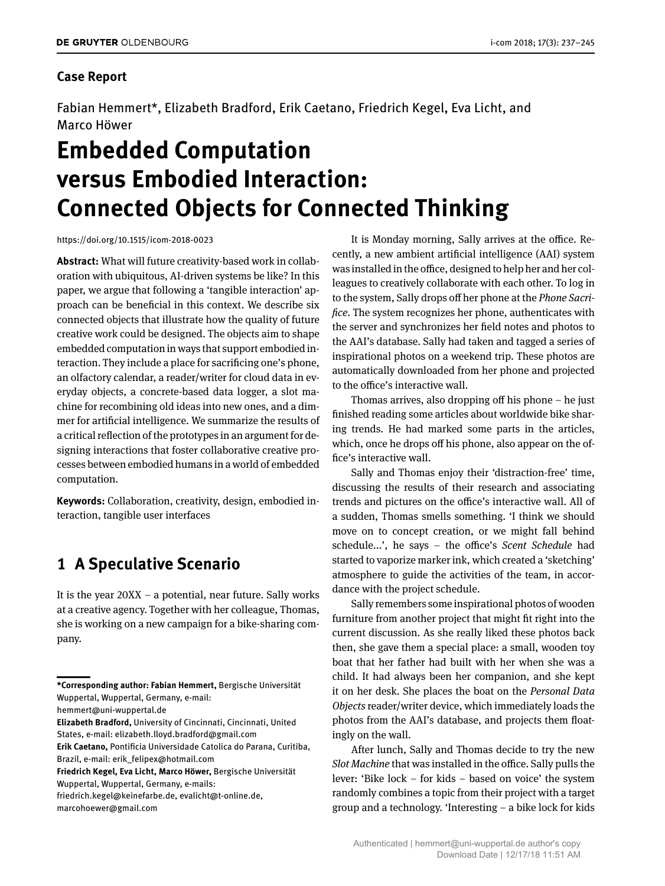### **Case Report**

Fabian Hemmert\*, Elizabeth Bradford, Erik Caetano, Friedrich Kegel, Eva Licht, and Marco Höwer

# **Embedded Computation versus Embodied Interaction: Connected Objects for Connected Thinking**

<https://doi.org/10.1515/icom-2018-0023>

**Abstract:** What will future creativity-based work in collaboration with ubiquitous, AI-driven systems be like? In this paper, we argue that following a 'tangible interaction' approach can be beneficial in this context. We describe six connected objects that illustrate how the quality of future creative work could be designed. The objects aim to shape embedded computation in ways that support embodied interaction. They include a place for sacrificing one's phone, an olfactory calendar, a reader/writer for cloud data in everyday objects, a concrete-based data logger, a slot machine for recombining old ideas into new ones, and a dimmer for artificial intelligence. We summarize the results of a critical reflection of the prototypes in an argument for designing interactions that foster collaborative creative processes between embodied humans in a world of embedded computation.

**Keywords:** Collaboration, creativity, design, embodied interaction, tangible user interfaces

# **1 A Speculative Scenario**

It is the year  $20XX - a$  potential, near future. Sally works at a creative agency. Together with her colleague, Thomas, she is working on a new campaign for a bike-sharing company.

[hemmert@uni-wuppertal.de](mailto:hemmert@uni-wuppertal.de)

**Erik Caetano,** Pontificia Universidade Catolica do Parana, Curitiba, Brazil, e-mail: [erik\\_felipex@hotmail.com](mailto:erik_felipex@hotmail.com)

[friedrich.kegel@keinefarbe.de,](mailto:friedrich.kegel@keinefarbe.de) [evalicht@t-online.de,](mailto:evalicht@t-online.de) [marcohoewer@gmail.com](mailto:marcohoewer@gmail.com)

It is Monday morning, Sally arrives at the office. Recently, a new ambient artificial intelligence (AAI) system was installed in the office, designed to help her and her colleagues to creatively collaborate with each other. To log in to the system, Sally drops off her phone at the *Phone Sacrifice*. The system recognizes her phone, authenticates with the server and synchronizes her field notes and photos to the AAI's database. Sally had taken and tagged a series of inspirational photos on a weekend trip. These photos are automatically downloaded from her phone and projected to the office's interactive wall.

Thomas arrives, also dropping off his phone – he just finished reading some articles about worldwide bike sharing trends. He had marked some parts in the articles, which, once he drops off his phone, also appear on the office's interactive wall.

Sally and Thomas enjoy their 'distraction-free' time, discussing the results of their research and associating trends and pictures on the office's interactive wall. All of a sudden, Thomas smells something. 'I think we should move on to concept creation, or we might fall behind schedule...', he says – the office's *Scent Schedule* had started to vaporize marker ink, which created a 'sketching' atmosphere to guide the activities of the team, in accordance with the project schedule.

Sally remembers some inspirational photos of wooden furniture from another project that might fit right into the current discussion. As she really liked these photos back then, she gave them a special place: a small, wooden toy boat that her father had built with her when she was a child. It had always been her companion, and she kept it on her desk. She places the boat on the *Personal Data Objects* reader/writer device, which immediately loads the photos from the AAI's database, and projects them floatingly on the wall.

After lunch, Sally and Thomas decide to try the new *Slot Machine* that was installed in the office. Sally pulls the lever: 'Bike lock – for kids – based on voice' the system randomly combines a topic from their project with a target group and a technology. 'Interesting – a bike lock for kids

**<sup>\*</sup>Corresponding author: Fabian Hemmert,** Bergische Universität Wuppertal, Wuppertal, Germany, e-mail:

**Elizabeth Bradford,** University of Cincinnati, Cincinnati, United States, e-mail: [elizabeth.lloyd.bradford@gmail.com](mailto:elizabeth.lloyd.bradford@gmail.com)

**Friedrich Kegel, Eva Licht, Marco Höwer,** Bergische Universität Wuppertal, Wuppertal, Germany, e-mails: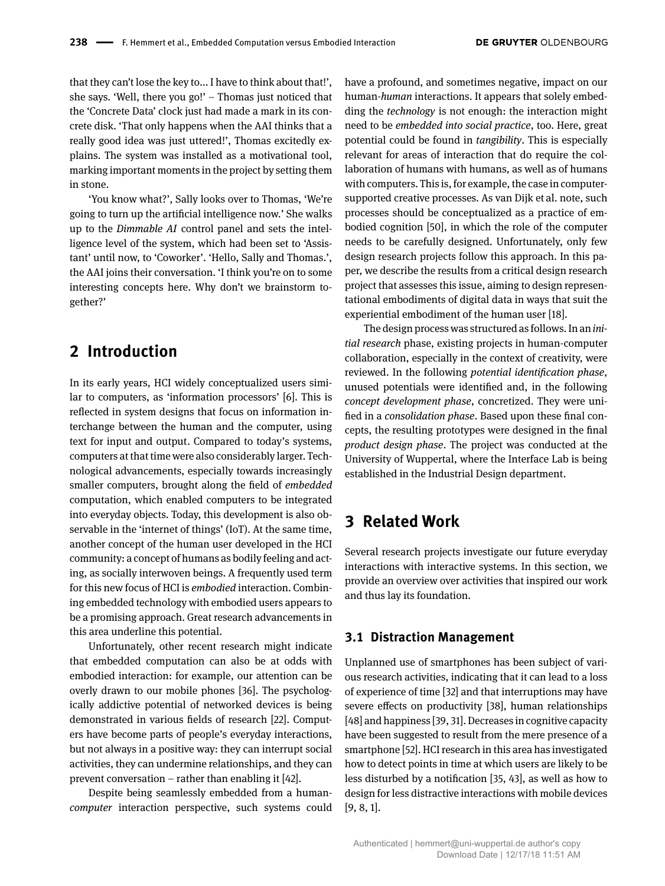that they can't lose the key to... I have to think about that!', she says. 'Well, there you go!' – Thomas just noticed that the 'Concrete Data' clock just had made a mark in its concrete disk. 'That only happens when the AAI thinks that a really good idea was just uttered!', Thomas excitedly explains. The system was installed as a motivational tool, marking important moments in the project by setting them in stone.

'You know what?', Sally looks over to Thomas, 'We're going to turn up the artificial intelligence now.' She walks up to the *Dimmable AI* control panel and sets the intelligence level of the system, which had been set to 'Assistant' until now, to 'Coworker'. 'Hello, Sally and Thomas.', the AAI joins their conversation. 'I think you're on to some interesting concepts here. Why don't we brainstorm together?'

# **2 Introduction**

In its early years, HCI widely conceptualized users similar to computers, as 'information processors' [\[6\]](#page-6-0). This is reflected in system designs that focus on information interchange between the human and the computer, using text for input and output. Compared to today's systems, computers at that time were also considerably larger. Technological advancements, especially towards increasingly smaller computers, brought along the field of *embedded* computation, which enabled computers to be integrated into everyday objects. Today, this development is also observable in the 'internet of things' (IoT). At the same time, another concept of the human user developed in the HCI community: a concept of humans as bodily feeling and acting, as socially interwoven beings. A frequently used term for this new focus of HCI is *embodied* interaction. Combining embedded technology with embodied users appears to be a promising approach. Great research advancements in this area underline this potential.

Unfortunately, other recent research might indicate that embedded computation can also be at odds with embodied interaction: for example, our attention can be overly drawn to our mobile phones [\[36\]](#page-7-0). The psychologically addictive potential of networked devices is being demonstrated in various fields of research [\[22\]](#page-6-1). Computers have become parts of people's everyday interactions, but not always in a positive way: they can interrupt social activities, they can undermine relationships, and they can prevent conversation – rather than enablingit [\[42\]](#page-7-1).

Despite being seamlessly embedded from a human*computer* interaction perspective, such systems could have a profound, and sometimes negative, impact on our human-*human* interactions. It appears that solely embedding the *technology* is not enough: the interaction might need to be *embedded into social practice*, too. Here, great potential could be found in *tangibility*. This is especially relevant for areas of interaction that do require the collaboration of humans with humans, as well as of humans with computers. This is, for example, the case in computersupported creative processes. As van Dijk et al. note, such processes should be conceptualized as a practice of embodied cognition [\[50\]](#page-7-2), in which the role of the computer needs to be carefully designed. Unfortunately, only few design research projects follow this approach. In this paper, we describe the results from a critical design research project that assesses this issue, aiming to design representational embodiments of digital data in ways that suit the experiential embodiment of the human user [\[18\]](#page-6-2).

The design process was structured as follows. In an *initial research* phase, existing projects in human-computer collaboration, especially in the context of creativity, were reviewed. In the following *potential identification phase*, unused potentials were identified and, in the following *concept development phase*, concretized. They were unified in a *consolidation phase*. Based upon these final concepts, the resulting prototypes were designed in the final *product design phase*. The project was conducted at the University of Wuppertal, where the Interface Lab is being established in the Industrial Design department.

# **3 Related Work**

Several research projects investigate our future everyday interactions with interactive systems. In this section, we provide an overview over activities that inspired our work and thus lay its foundation.

#### **3.1 Distraction Management**

Unplanned use of smartphones has been subject of various research activities, indicating that it can lead to a loss of experience of time [\[32\]](#page-7-3) and that interruptions may have severe effects on productivity [\[38\]](#page-7-4), human relationships [\[48\]](#page-7-5) and happiness [\[39,](#page-7-6) [31\]](#page-7-7). Decreases in cognitive capacity have been suggested to result from the mere presence of a smartphone [\[52\]](#page-8-1). HCI research in this area has investigated how to detect points in time at which users are likely to be less disturbed by a notification [\[35,](#page-7-8) [43\]](#page-7-9), as well as how to design for less distractive interactions with mobile devices [\[9,](#page-6-3) [8,](#page-6-4) [1\]](#page-5-0).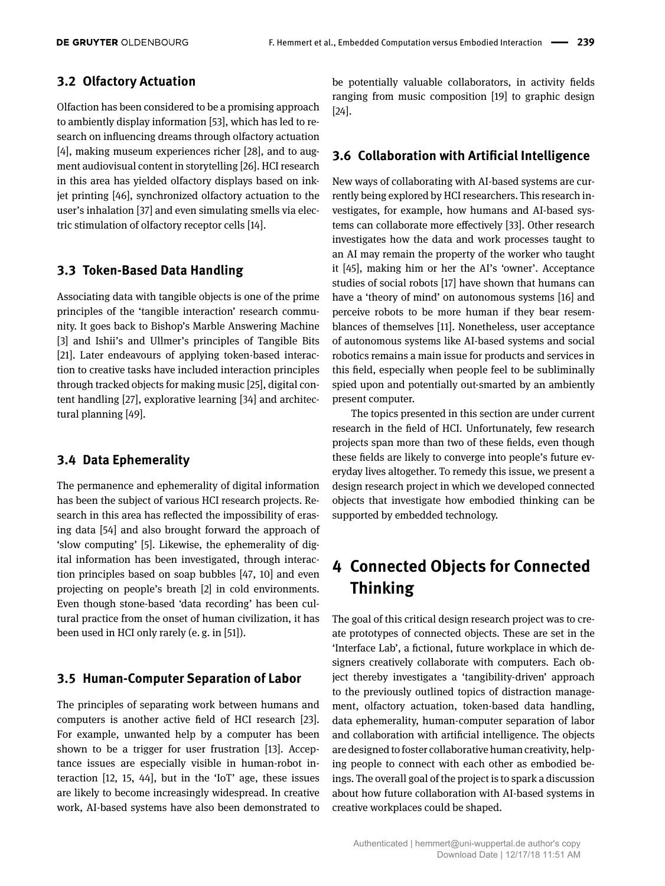### **3.2 Olfactory Actuation**

Olfaction has been considered to be a promising approach to ambiently display information [\[53\]](#page-8-2), which has led to research on influencing dreams through olfactory actuation [\[4\]](#page-6-5), making museum experiences richer [\[28\]](#page-7-10), and to augment audiovisual content in storytelling [\[26\]](#page-6-6). HCI research in this area has yielded olfactory displays based on inkjet printing [\[46\]](#page-7-11), synchronized olfactory actuation to the user's inhalation [\[37\]](#page-7-12) and even simulating smells via electric stimulation of olfactory receptor cells [\[14\]](#page-6-7).

#### **3.3 Token-Based Data Handling**

Associating data with tangible objects is one of the prime principles of the 'tangible interaction' research community. It goes back to Bishop's Marble Answering Machine [\[3\]](#page-6-8) and Ishii's and Ullmer's principles of Tangible Bits [\[21\]](#page-6-9). Later endeavours of applying token-based interaction to creative tasks have included interaction principles through tracked objects for making music [\[25\]](#page-6-10), digital content handling [\[27\]](#page-7-13), explorative learning [\[34\]](#page-7-14) and architectural planning [\[49\]](#page-7-15).

### **3.4 Data Ephemerality**

The permanence and ephemerality of digital information has been the subject of various HCI research projects. Research in this area has reflected the impossibility of erasing data [\[54\]](#page-8-3) and also brought forward the approach of 'slow computing' [\[5\]](#page-6-11). Likewise, the ephemerality of digital information has been investigated, through interaction principles based on soap bubbles [\[47,](#page-7-16) [10\]](#page-6-12) and even projecting on people's breath [\[2\]](#page-5-1) in cold environments. Even though stone-based 'data recording' has been cultural practice from the onset of human civilization, it has been used in HCI only rarely (e. g. in [\[51\]](#page-8-4)).

#### **3.5 Human-Computer Separation of Labor**

The principles of separating work between humans and computers is another active field of HCI research [\[23\]](#page-6-13). For example, unwanted help by a computer has been shown to be a trigger for user frustration [\[13\]](#page-6-14). Acceptance issues are especially visible in human-robot interaction [\[12,](#page-6-15) [15,](#page-6-16) [44\]](#page-7-17), but in the 'IoT' age, these issues are likely to become increasingly widespread. In creative work, AI-based systems have also been demonstrated to

be potentially valuable collaborators, in activity fields ranging from music composition [\[19\]](#page-6-17) to graphic design [\[24\]](#page-6-18).

#### **3.6 Collaboration with Artificial Intelligence**

New ways of collaborating with AI-based systems are currently being explored by HCI researchers. This research investigates, for example, how humans and AI-based systems can collaborate more effectively [\[33\]](#page-7-18). Other research investigates how the data and work processes taught to an AI may remain the property of the worker who taught it [\[45\]](#page-7-19), making him or her the AI's 'owner'. Acceptance studies of social robots [\[17\]](#page-6-19) have shown that humans can have a 'theory of mind' on autonomous systems [\[16\]](#page-6-20) and perceive robots to be more human if they bear resemblances of themselves [\[11\]](#page-6-21). Nonetheless, user acceptance of autonomous systems like AI-based systems and social robotics remains a main issue for products and services in this field, especially when people feel to be subliminally spied upon and potentially out-smarted by an ambiently present computer.

The topics presented in this section are under current research in the field of HCI. Unfortunately, few research projects span more than two of these fields, even though these fields are likely to converge into people's future everyday lives altogether. To remedy this issue, we present a design research project in which we developed connected objects that investigate how embodied thinking can be supported by embedded technology.

# **4 Connected Objects for Connected Thinking**

The goal of this critical design research project was to create prototypes of connected objects. These are set in the 'Interface Lab', a fictional, future workplace in which designers creatively collaborate with computers. Each object thereby investigates a 'tangibility-driven' approach to the previously outlined topics of distraction management, olfactory actuation, token-based data handling, data ephemerality, human-computer separation of labor and collaboration with artificial intelligence. The objects are designed to foster collaborative human creativity, helping people to connect with each other as embodied beings. The overall goal of the project is to spark a discussion about how future collaboration with AI-based systems in creative workplaces could be shaped.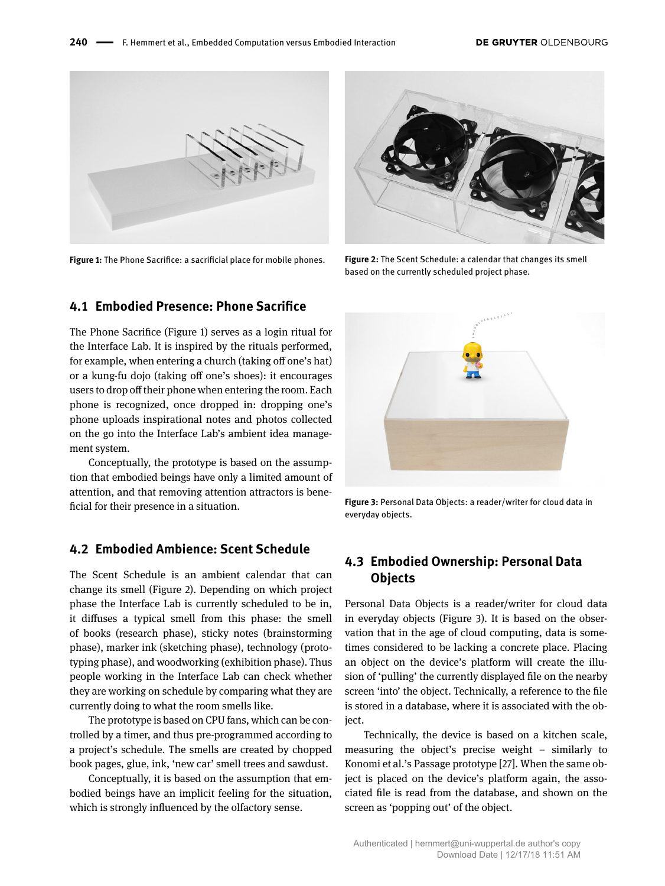<span id="page-3-0"></span>

**Figure 1:** The Phone Sacrifice: a sacrificial place for mobile phones.

<span id="page-3-1"></span>

**Figure 2:** The Scent Schedule: a calendar that changes its smell based on the currently scheduled project phase.

#### **4.1 Embodied Presence: Phone Sacrifice**

The Phone Sacrifice (Figure [1\)](#page-3-0) serves as a login ritual for the Interface Lab. It is inspired by the rituals performed, for example, when entering a church (taking off one's hat) or a kung-fu dojo (taking off one's shoes): it encourages users to drop off their phone when entering the room. Each phone is recognized, once dropped in: dropping one's phone uploads inspirational notes and photos collected on the go into the Interface Lab's ambient idea management system.

Conceptually, the prototype is based on the assumption that embodied beings have only a limited amount of attention, and that removing attention attractors is beneficial for their presence in a situation.

### **4.2 Embodied Ambience: Scent Schedule**

The Scent Schedule is an ambient calendar that can change its smell (Figure [2\)](#page-3-1). Depending on which project phase the Interface Lab is currently scheduled to be in, it diffuses a typical smell from this phase: the smell of books (research phase), sticky notes (brainstorming phase), marker ink (sketching phase), technology (prototyping phase), and woodworking (exhibition phase). Thus people working in the Interface Lab can check whether they are working on schedule by comparing what they are currently doing to what the room smells like.

The prototype is based on CPU fans, which can be controlled by a timer, and thus pre-programmed according to a project's schedule. The smells are created by chopped book pages, glue, ink, 'new car' smell trees and sawdust.

Conceptually, it is based on the assumption that embodied beings have an implicit feeling for the situation, which is strongly influenced by the olfactory sense.

<span id="page-3-2"></span>

**Figure 3:** Personal Data Objects: a reader/writer for cloud data in everyday objects.

### **4.3 Embodied Ownership: Personal Data Objects**

Personal Data Objects is a reader/writer for cloud data in everyday objects (Figure [3\)](#page-3-2). It is based on the observation that in the age of cloud computing, data is sometimes considered to be lacking a concrete place. Placing an object on the device's platform will create the illusion of 'pulling' the currently displayed file on the nearby screen 'into' the object. Technically, a reference to the file is stored in a database, where it is associated with the object.

Technically, the device is based on a kitchen scale, measuring the object's precise weight – similarly to Konomi et al.'s Passage prototype [\[27\]](#page-7-13). When the same object is placed on the device's platform again, the associated file is read from the database, and shown on the screen as 'popping out' of the object.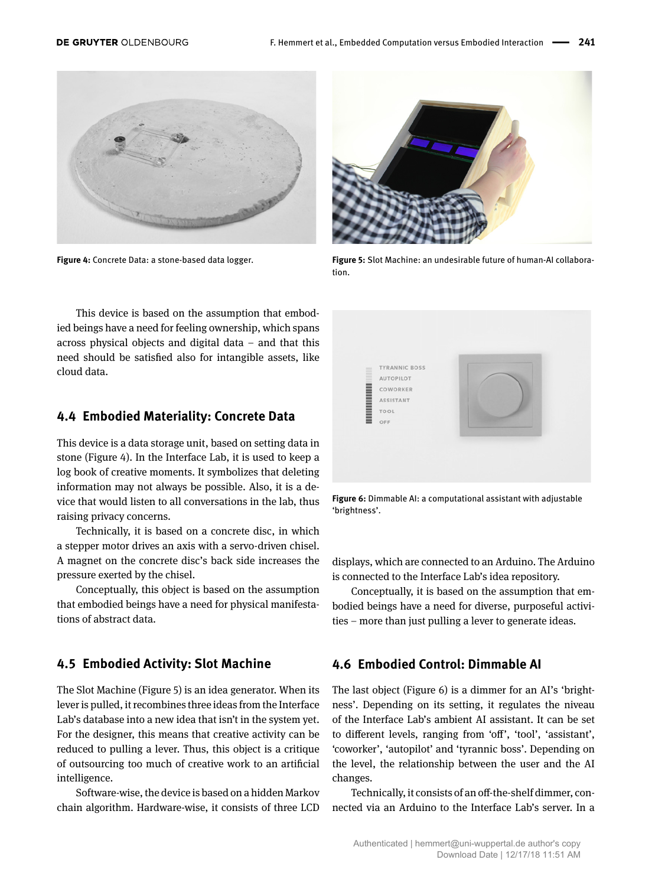<span id="page-4-0"></span>

**Figure 4:** Concrete Data: a stone-based data logger.

This device is based on the assumption that embodied beings have a need for feeling ownership, which spans across physical objects and digital data – and that this need should be satisfied also for intangible assets, like cloud data.

#### **4.4 Embodied Materiality: Concrete Data**

This device is a data storage unit, based on setting data in stone (Figure [4\)](#page-4-0). In the Interface Lab, it is used to keep a log book of creative moments. It symbolizes that deleting information may not always be possible. Also, it is a device that would listen to all conversations in the lab, thus raising privacy concerns.

Technically, it is based on a concrete disc, in which a stepper motor drives an axis with a servo-driven chisel. A magnet on the concrete disc's back side increases the pressure exerted by the chisel.

Conceptually, this object is based on the assumption that embodied beings have a need for physical manifestations of abstract data.

#### **4.5 Embodied Activity: Slot Machine**

The Slot Machine (Figure [5\)](#page-4-1) is an idea generator. When its lever is pulled, it recombines three ideas from the Interface Lab's database into a new idea that isn't in the system yet. For the designer, this means that creative activity can be reduced to pulling a lever. Thus, this object is a critique of outsourcing too much of creative work to an artificial intelligence.

Software-wise, the device is based on a hidden Markov chain algorithm. Hardware-wise, it consists of three LCD

<span id="page-4-1"></span>

**Figure 5:** Slot Machine: an undesirable future of human-AI collaboration.

<span id="page-4-2"></span>

**Figure 6:** Dimmable AI: a computational assistant with adjustable 'brightness'.

displays, which are connected to an Arduino. The Arduino is connected to the Interface Lab's idea repository.

Conceptually, it is based on the assumption that embodied beings have a need for diverse, purposeful activities – more than just pulling a lever to generate ideas.

### **4.6 Embodied Control: Dimmable AI**

The last object (Figure [6\)](#page-4-2) is a dimmer for an AI's 'brightness'. Depending on its setting, it regulates the niveau of the Interface Lab's ambient AI assistant. It can be set to different levels, ranging from 'off', 'tool', 'assistant', 'coworker', 'autopilot' and 'tyrannic boss'. Depending on the level, the relationship between the user and the AI changes.

Technically, it consists of an off-the-shelf dimmer, connected via an Arduino to the Interface Lab's server. In a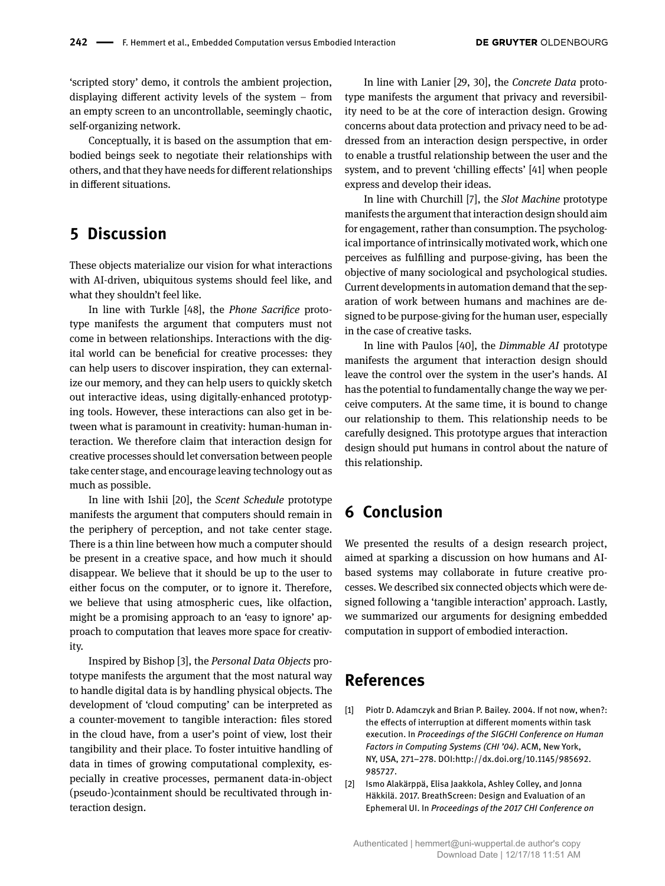'scripted story' demo, it controls the ambient projection, displaying different activity levels of the system – from an empty screen to an uncontrollable, seemingly chaotic, self-organizing network.

Conceptually, it is based on the assumption that embodied beings seek to negotiate their relationships with others, and that they have needs for different relationships in different situations.

### **5 Discussion**

These objects materialize our vision for what interactions with AI-driven, ubiquitous systems should feel like, and what they shouldn't feel like.

In line with Turkle [\[48\]](#page-7-5), the *Phone Sacrifice* prototype manifests the argument that computers must not come in between relationships. Interactions with the digital world can be beneficial for creative processes: they can help users to discover inspiration, they can externalize our memory, and they can help users to quickly sketch out interactive ideas, using digitally-enhanced prototyping tools. However, these interactions can also get in between what is paramount in creativity: human-human interaction. We therefore claim that interaction design for creative processes should let conversation between people take center stage, and encourage leaving technology out as much as possible.

In line with Ishii [\[20\]](#page-6-22), the *Scent Schedule* prototype manifests the argument that computers should remain in the periphery of perception, and not take center stage. There is a thin line between how much a computer should be present in a creative space, and how much it should disappear. We believe that it should be up to the user to either focus on the computer, or to ignore it. Therefore, we believe that using atmospheric cues, like olfaction, might be a promising approach to an 'easy to ignore' approach to computation that leaves more space for creativity.

Inspired by Bishop [\[3\]](#page-6-8), the *Personal Data Objects* prototype manifests the argument that the most natural way to handle digital data is by handling physical objects. The development of 'cloud computing' can be interpreted as a counter-movement to tangible interaction: files stored in the cloud have, from a user's point of view, lost their tangibility and their place. To foster intuitive handling of data in times of growing computational complexity, especially in creative processes, permanent data-in-object (pseudo-)containment should be recultivated through interaction design.

In line with Lanier [\[29,](#page-7-20) [30\]](#page-7-21), the *Concrete Data* prototype manifests the argument that privacy and reversibility need to be at the core of interaction design. Growing concerns about data protection and privacy need to be addressed from an interaction design perspective, in order to enable a trustful relationship between the user and the system, and to prevent 'chilling effects' [\[41\]](#page-7-22) when people express and develop their ideas.

In line with Churchill [\[7\]](#page-6-23), the *Slot Machine* prototype manifests the argument that interaction design should aim for engagement, rather than consumption. The psychological importance of intrinsically motivated work, which one perceives as fulfilling and purpose-giving, has been the objective of many sociological and psychological studies. Current developments in automation demand that the separation of work between humans and machines are designed to be purpose-giving for the human user, especially in the case of creative tasks.

In line with Paulos [\[40\]](#page-7-23), the *Dimmable AI* prototype manifests the argument that interaction design should leave the control over the system in the user's hands. AI has the potential to fundamentally change the way we perceive computers. At the same time, it is bound to change our relationship to them. This relationship needs to be carefully designed. This prototype argues that interaction design should put humans in control about the nature of this relationship.

# **6 Conclusion**

We presented the results of a design research project, aimed at sparking a discussion on how humans and AIbased systems may collaborate in future creative processes. We described six connected objects which were designed following a 'tangible interaction' approach. Lastly, we summarized our arguments for designing embedded computation in support of embodied interaction.

### **References**

- <span id="page-5-0"></span>[1] Piotr D. Adamczyk and Brian P. Bailey. 2004. If not now, when?: the effects of interruption at different moments within task execution. In *Proceedings of the SIGCHI Conference on Human Factors in Computing Systems (CHI '04)*. ACM, New York, NY, USA, 271–278. DOI[:http://dx.doi.org/10.1145/985692.](http://dx.doi.org/10.1145/985692.985727) [985727.](http://dx.doi.org/10.1145/985692.985727)
- <span id="page-5-1"></span>[2] Ismo Alakärppä, Elisa Jaakkola, Ashley Colley, and Jonna Häkkilä. 2017. BreathScreen: Design and Evaluation of an Ephemeral UI. In *Proceedings of the 2017 CHI Conference on*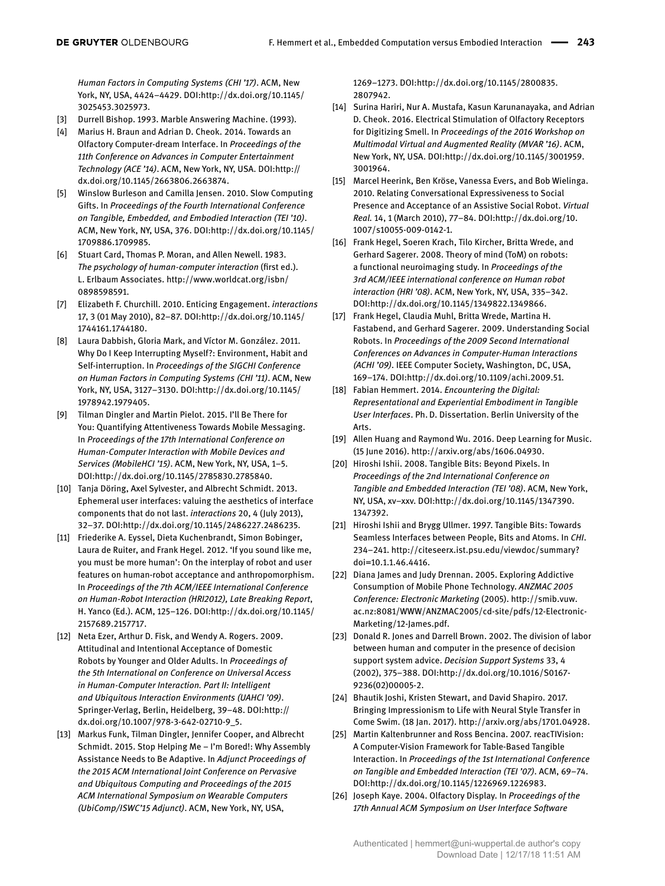*Human Factors in Computing Systems (CHI '17)*. ACM, New York, NY, USA, 4424–4429. DOI[:http://dx.doi.org/10.1145/](http://dx.doi.org/10.1145/3025453.3025973) [3025453.3025973.](http://dx.doi.org/10.1145/3025453.3025973)

- <span id="page-6-8"></span>[3] Durrell Bishop. 1993. Marble Answering Machine. (1993).
- <span id="page-6-5"></span>[4] Marius H. Braun and Adrian D. Cheok. 2014. Towards an Olfactory Computer-dream Interface. In *Proceedings of the 11th Conference on Advances in Computer Entertainment Technology (ACE '14)*. ACM, New York, NY, USA. DOI[:http://](http://dx.doi.org/10.1145/2663806.2663874) [dx.doi.org/10.1145/2663806.2663874.](http://dx.doi.org/10.1145/2663806.2663874)
- <span id="page-6-11"></span>[5] Winslow Burleson and Camilla Jensen. 2010. Slow Computing Gifts. In *Proceedings of the Fourth International Conference on Tangible, Embedded, and Embodied Interaction (TEI '10)*. ACM, New York, NY, USA, 376. DOI[:http://dx.doi.org/10.1145/](http://dx.doi.org/10.1145/1709886.1709985) [1709886.1709985.](http://dx.doi.org/10.1145/1709886.1709985)
- <span id="page-6-0"></span>[6] Stuart Card, Thomas P. Moran, and Allen Newell. 1983. *The psychology of human-computer interaction* (first ed.). L. Erlbaum Associates. [http://www.worldcat.org/isbn/](http://www.worldcat.org/isbn/0898598591) [0898598591.](http://www.worldcat.org/isbn/0898598591)
- <span id="page-6-23"></span>[7] Elizabeth F. Churchill. 2010. Enticing Engagement. *interactions* 17, 3 (01 May 2010), 82–87. DOI[:http://dx.doi.org/10.1145/](http://dx.doi.org/10.1145/1744161.1744180) [1744161.1744180.](http://dx.doi.org/10.1145/1744161.1744180)
- <span id="page-6-4"></span>[8] Laura Dabbish, Gloria Mark, and Víctor M. González. 2011. Why Do I Keep Interrupting Myself?: Environment, Habit and Self-interruption. In *Proceedings of the SIGCHI Conference on Human Factors in Computing Systems (CHI '11)*. ACM, New York, NY, USA, 3127–3130. DOI[:http://dx.doi.org/10.1145/](http://dx.doi.org/10.1145/1978942.1979405) [1978942.1979405.](http://dx.doi.org/10.1145/1978942.1979405)
- <span id="page-6-3"></span>[9] Tilman Dingler and Martin Pielot. 2015. I'll Be There for You: Quantifying Attentiveness Towards Mobile Messaging. In *Proceedings of the 17th International Conference on Human-Computer Interaction with Mobile Devices and Services (MobileHCI '15)*. ACM, New York, NY, USA, 1–5. DOI[:http://dx.doi.org/10.1145/2785830.2785840.](http://dx.doi.org/10.1145/2785830.2785840)
- <span id="page-6-12"></span>[10] Tanja Döring, Axel Sylvester, and Albrecht Schmidt. 2013. Ephemeral user interfaces: valuing the aesthetics of interface components that do not last. *interactions* 20, 4 (July 2013), 32–37. DOI[:http://dx.doi.org/10.1145/2486227.2486235.](http://dx.doi.org/10.1145/2486227.2486235)
- <span id="page-6-21"></span>[11] Friederike A. Eyssel, Dieta Kuchenbrandt, Simon Bobinger, Laura de Ruiter, and Frank Hegel. 2012. 'If you sound like me, you must be more human': On the interplay of robot and user features on human-robot acceptance and anthropomorphism. In *Proceedings of the 7th ACM/IEEE International Conference on Human-Robot Interaction (HRI2012), Late Breaking Report*, H. Yanco (Ed.). ACM, 125–126. DOI[:http://dx.doi.org/10.1145/](http://dx.doi.org/10.1145/2157689.2157717) [2157689.2157717.](http://dx.doi.org/10.1145/2157689.2157717)
- <span id="page-6-15"></span>[12] Neta Ezer, Arthur D. Fisk, and Wendy A. Rogers. 2009. Attitudinal and Intentional Acceptance of Domestic Robots by Younger and Older Adults. In *Proceedings of the 5th International on Conference on Universal Access in Human-Computer Interaction. Part II: Intelligent and Ubiquitous Interaction Environments (UAHCI '09)*. Springer-Verlag, Berlin, Heidelberg, 39–48. DOI[:http://](http://dx.doi.org/10.1007/978-3-642-02710-9_5) [dx.doi.org/10.1007/978-3-642-02710-9\\_5.](http://dx.doi.org/10.1007/978-3-642-02710-9_5)
- <span id="page-6-14"></span>[13] Markus Funk, Tilman Dingler, Jennifer Cooper, and Albrecht Schmidt. 2015. Stop Helping Me – I'm Bored!: Why Assembly Assistance Needs to Be Adaptive. In *Adjunct Proceedings of the 2015 ACM International Joint Conference on Pervasive and Ubiquitous Computing and Proceedings of the 2015 ACM International Symposium on Wearable Computers (UbiComp/ISWC'15 Adjunct)*. ACM, New York, NY, USA,

1269–1273. DOI[:http://dx.doi.org/10.1145/2800835.](http://dx.doi.org/10.1145/2800835.2807942) [2807942.](http://dx.doi.org/10.1145/2800835.2807942)

- <span id="page-6-7"></span>[14] Surina Hariri, Nur A. Mustafa, Kasun Karunanayaka, and Adrian D. Cheok. 2016. Electrical Stimulation of Olfactory Receptors for Digitizing Smell. In *Proceedings of the 2016 Workshop on Multimodal Virtual and Augmented Reality (MVAR '16)*. ACM, New York, NY, USA. DOI[:http://dx.doi.org/10.1145/3001959.](http://dx.doi.org/10.1145/3001959.3001964) [3001964.](http://dx.doi.org/10.1145/3001959.3001964)
- <span id="page-6-16"></span>[15] Marcel Heerink, Ben Kröse, Vanessa Evers, and Bob Wielinga. 2010. Relating Conversational Expressiveness to Social Presence and Acceptance of an Assistive Social Robot. *Virtual Real.* 14, 1 (March 2010), 77–84. DOI[:http://dx.doi.org/10.](http://dx.doi.org/10.1007/s10055-009-0142-1) [1007/s10055-009-0142-1.](http://dx.doi.org/10.1007/s10055-009-0142-1)
- <span id="page-6-20"></span>[16] Frank Hegel, Soeren Krach, Tilo Kircher, Britta Wrede, and Gerhard Sagerer. 2008. Theory of mind (ToM) on robots: a functional neuroimaging study. In *Proceedings of the 3rd ACM/IEEE international conference on Human robot interaction (HRI '08)*. ACM, New York, NY, USA, 335–342. DOI[:http://dx.doi.org/10.1145/1349822.1349866.](http://dx.doi.org/10.1145/1349822.1349866)
- <span id="page-6-19"></span>[17] Frank Hegel, Claudia Muhl, Britta Wrede, Martina H. Fastabend, and Gerhard Sagerer. 2009. Understanding Social Robots. In *Proceedings of the 2009 Second International Conferences on Advances in Computer-Human Interactions (ACHI '09)*. IEEE Computer Society, Washington, DC, USA, 169–174. DOI[:http://dx.doi.org/10.1109/achi.2009.51.](http://dx.doi.org/10.1109/achi.2009.51)
- <span id="page-6-2"></span>[18] Fabian Hemmert. 2014. *Encountering the Digital: Representational and Experiential Embodiment in Tangible User Interfaces*. Ph. D. Dissertation. Berlin University of the Arts.
- <span id="page-6-17"></span>[19] Allen Huang and Raymond Wu. 2016. Deep Learning for Music. (15 June 2016). [http://arxiv.org/abs/1606.04930.](http://arxiv.org/abs/1606.04930)
- <span id="page-6-22"></span>[20] Hiroshi Ishii. 2008. Tangible Bits: Beyond Pixels. In *Proceedings of the 2nd International Conference on Tangible and Embedded Interaction (TEI '08)*. ACM, New York, NY, USA, xv–xxv. DOI[:http://dx.doi.org/10.1145/1347390.](http://dx.doi.org/10.1145/1347390.1347392) [1347392.](http://dx.doi.org/10.1145/1347390.1347392)
- <span id="page-6-9"></span>[21] Hiroshi Ishii and Brygg Ullmer. 1997. Tangible Bits: Towards Seamless Interfaces between People, Bits and Atoms. In *CHI*. 234–241. [http://citeseerx.ist.psu.edu/viewdoc/summary?](http://citeseerx.ist.psu.edu/viewdoc/summary?doi=10.1.1.46.4416) [doi=10.1.1.46.4416.](http://citeseerx.ist.psu.edu/viewdoc/summary?doi=10.1.1.46.4416)
- <span id="page-6-1"></span>[22] Diana James and Judy Drennan. 2005. Exploring Addictive Consumption of Mobile Phone Technology. *ANZMAC 2005 Conference: Electronic Marketing* (2005). [http://smib.vuw.](http://smib.vuw.ac.nz:8081/WWW/ANZMAC2005/cd-site/pdfs/12-Electronic-Marketing/12-James.pdf) [ac.nz:8081/WWW/ANZMAC2005/cd-site/pdfs/12-Electronic-](http://smib.vuw.ac.nz:8081/WWW/ANZMAC2005/cd-site/pdfs/12-Electronic-Marketing/12-James.pdf)[Marketing/12-James.pdf.](http://smib.vuw.ac.nz:8081/WWW/ANZMAC2005/cd-site/pdfs/12-Electronic-Marketing/12-James.pdf)
- <span id="page-6-13"></span>[23] Donald R. Jones and Darrell Brown. 2002. The division of labor between human and computer in the presence of decision support system advice. *Decision Support Systems* 33, 4 (2002), 375–388. DOI[:http://dx.doi.org/10.1016/S0167-](http://dx.doi.org/10.1016/S0167-9236(02)00005-2) [9236\(02\)00005-2.](http://dx.doi.org/10.1016/S0167-9236(02)00005-2)
- <span id="page-6-18"></span>[24] Bhautik Joshi, Kristen Stewart, and David Shapiro. 2017. Bringing Impressionism to Life with Neural Style Transfer in Come Swim. (18 Jan. 2017). [http://arxiv.org/abs/1701.04928.](http://arxiv.org/abs/1701.04928)
- <span id="page-6-10"></span>[25] Martin Kaltenbrunner and Ross Bencina. 2007. reacTIVision: A Computer-Vision Framework for Table-Based Tangible Interaction. In *Proceedings of the 1st International Conference on Tangible and Embedded Interaction (TEI '07)*. ACM, 69–74. DOI[:http://dx.doi.org/10.1145/1226969.1226983.](http://dx.doi.org/10.1145/1226969.1226983)
- <span id="page-6-6"></span>[26] Joseph Kaye. 2004. Olfactory Display. In *Proceedings of the 17th Annual ACM Symposium on User Interface Software*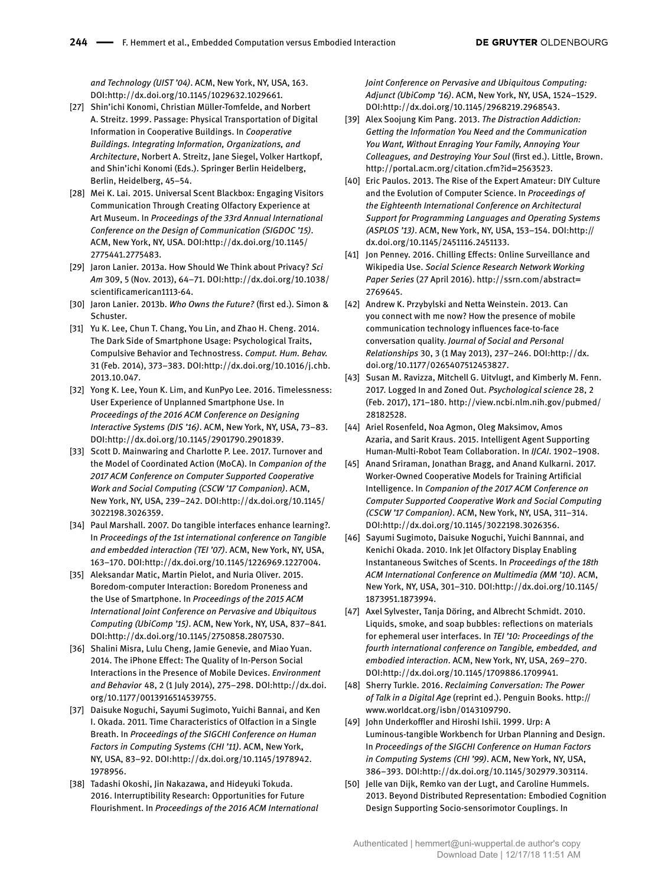*and Technology (UIST '04)*. ACM, New York, NY, USA, 163. DOI[:http://dx.doi.org/10.1145/1029632.1029661.](http://dx.doi.org/10.1145/1029632.1029661)

- <span id="page-7-13"></span>[27] Shin'ichi Konomi, Christian Müller-Tomfelde, and Norbert A. Streitz. 1999. Passage: Physical Transportation of Digital Information in Cooperative Buildings. In *Cooperative Buildings. Integrating Information, Organizations, and Architecture*, Norbert A. Streitz, Jane Siegel, Volker Hartkopf, and Shin'ichi Konomi (Eds.). Springer Berlin Heidelberg, Berlin, Heidelberg, 45–54.
- <span id="page-7-10"></span>[28] Mei K. Lai. 2015. Universal Scent Blackbox: Engaging Visitors Communication Through Creating Olfactory Experience at Art Museum. In *Proceedings of the 33rd Annual International Conference on the Design of Communication (SIGDOC '15)*. ACM, New York, NY, USA. DOI[:http://dx.doi.org/10.1145/](http://dx.doi.org/10.1145/2775441.2775483) [2775441.2775483.](http://dx.doi.org/10.1145/2775441.2775483)
- <span id="page-7-20"></span>[29] Jaron Lanier. 2013a. How Should We Think about Privacy? *Sci Am* 309, 5 (Nov. 2013), 64–71. DOI[:http://dx.doi.org/10.1038/](http://dx.doi.org/10.1038/scientificamerican1113-64) [scientificamerican1113-64.](http://dx.doi.org/10.1038/scientificamerican1113-64)
- <span id="page-7-21"></span>[30] Jaron Lanier. 2013b. *Who Owns the Future?* (first ed.). Simon & Schuster.
- <span id="page-7-7"></span>[31] Yu K. Lee, Chun T. Chang, You Lin, and Zhao H. Cheng. 2014. The Dark Side of Smartphone Usage: Psychological Traits, Compulsive Behavior and Technostress. *Comput. Hum. Behav.* 31 (Feb. 2014), 373–383. DOI[:http://dx.doi.org/10.1016/j.chb.](http://dx.doi.org/10.1016/j.chb.2013.10.047) [2013.10.047.](http://dx.doi.org/10.1016/j.chb.2013.10.047)
- <span id="page-7-3"></span>[32] Yong K. Lee, Youn K. Lim, and KunPyo Lee. 2016. Timelessness: User Experience of Unplanned Smartphone Use. In *Proceedings of the 2016 ACM Conference on Designing Interactive Systems (DIS '16)*. ACM, New York, NY, USA, 73–83. DOI[:http://dx.doi.org/10.1145/2901790.2901839.](http://dx.doi.org/10.1145/2901790.2901839)
- <span id="page-7-18"></span>[33] Scott D. Mainwaring and Charlotte P. Lee. 2017. Turnover and the Model of Coordinated Action (MoCA). In *Companion of the 2017 ACM Conference on Computer Supported Cooperative Work and Social Computing (CSCW '17 Companion)*. ACM, New York, NY, USA, 239–242. DOI[:http://dx.doi.org/10.1145/](http://dx.doi.org/10.1145/3022198.3026359) [3022198.3026359.](http://dx.doi.org/10.1145/3022198.3026359)
- <span id="page-7-14"></span>[34] Paul Marshall. 2007. Do tangible interfaces enhance learning?. In *Proceedings of the 1st international conference on Tangible and embedded interaction (TEI '07)*. ACM, New York, NY, USA, 163–170. DOI[:http://dx.doi.org/10.1145/1226969.1227004.](http://dx.doi.org/10.1145/1226969.1227004)
- <span id="page-7-8"></span>[35] Aleksandar Matic, Martin Pielot, and Nuria Oliver. 2015. Boredom-computer Interaction: Boredom Proneness and the Use of Smartphone. In *Proceedings of the 2015 ACM International Joint Conference on Pervasive and Ubiquitous Computing (UbiComp '15)*. ACM, New York, NY, USA, 837–841. DOI[:http://dx.doi.org/10.1145/2750858.2807530.](http://dx.doi.org/10.1145/2750858.2807530)
- <span id="page-7-0"></span>[36] Shalini Misra, Lulu Cheng, Jamie Genevie, and Miao Yuan. 2014. The iPhone Effect: The Quality of In-Person Social Interactions in the Presence of Mobile Devices. *Environment and Behavior* 48, 2 (1 July 2014), 275–298. DOI[:http://dx.doi.](http://dx.doi.org/10.1177/0013916514539755) [org/10.1177/0013916514539755.](http://dx.doi.org/10.1177/0013916514539755)
- <span id="page-7-12"></span>[37] Daisuke Noguchi, Sayumi Sugimoto, Yuichi Bannai, and Ken I. Okada. 2011. Time Characteristics of Olfaction in a Single Breath. In *Proceedings of the SIGCHI Conference on Human Factors in Computing Systems (CHI '11)*. ACM, New York, NY, USA, 83–92. DOI[:http://dx.doi.org/10.1145/1978942.](http://dx.doi.org/10.1145/1978942.1978956) [1978956.](http://dx.doi.org/10.1145/1978942.1978956)
- <span id="page-7-4"></span>[38] Tadashi Okoshi, Jin Nakazawa, and Hideyuki Tokuda. 2016. Interruptibility Research: Opportunities for Future Flourishment. In *Proceedings of the 2016 ACM International*

*Joint Conference on Pervasive and Ubiquitous Computing: Adjunct (UbiComp '16)*. ACM, New York, NY, USA, 1524–1529. DOI[:http://dx.doi.org/10.1145/2968219.2968543.](http://dx.doi.org/10.1145/2968219.2968543)

- <span id="page-7-6"></span>[39] Alex Soojung Kim Pang. 2013. *The Distraction Addiction: Getting the Information You Need and the Communication You Want, Without Enraging Your Family, Annoying Your Colleagues, and Destroying Your Soul* (first ed.). Little, Brown. [http://portal.acm.org/citation.cfm?id=2563523.](http://portal.acm.org/citation.cfm?id=2563523)
- <span id="page-7-23"></span>[40] Eric Paulos. 2013. The Rise of the Expert Amateur: DIY Culture and the Evolution of Computer Science. In *Proceedings of the Eighteenth International Conference on Architectural Support for Programming Languages and Operating Systems (ASPLOS '13)*. ACM, New York, NY, USA, 153–154. DOI[:http://](http://dx.doi.org/10.1145/2451116.2451133) [dx.doi.org/10.1145/2451116.2451133.](http://dx.doi.org/10.1145/2451116.2451133)
- <span id="page-7-22"></span>[41] Jon Penney. 2016. Chilling Effects: Online Surveillance and Wikipedia Use. *Social Science Research Network Working Paper Series* (27 April 2016). [http://ssrn.com/abstract=](http://ssrn.com/abstract=2769645) [2769645.](http://ssrn.com/abstract=2769645)
- <span id="page-7-1"></span>[42] Andrew K. Przybylski and Netta Weinstein. 2013. Can you connect with me now? How the presence of mobile communication technology influences face-to-face conversation quality. *Journal of Social and Personal Relationships* 30, 3 (1 May 2013), 237–246. DOI[:http://dx.](http://dx.doi.org/10.1177/0265407512453827) [doi.org/10.1177/0265407512453827.](http://dx.doi.org/10.1177/0265407512453827)
- <span id="page-7-9"></span>[43] Susan M. Ravizza, Mitchell G. Uitvlugt, and Kimberly M. Fenn. 2017. Logged In and Zoned Out. *Psychological science* 28, 2 (Feb. 2017), 171–180. [http://view.ncbi.nlm.nih.gov/pubmed/](http://view.ncbi.nlm.nih.gov/pubmed/28182528) [28182528.](http://view.ncbi.nlm.nih.gov/pubmed/28182528)
- <span id="page-7-17"></span>[44] Ariel Rosenfeld, Noa Agmon, Oleg Maksimov, Amos Azaria, and Sarit Kraus. 2015. Intelligent Agent Supporting Human-Multi-Robot Team Collaboration. In *IJCAI*. 1902–1908.
- <span id="page-7-19"></span>[45] Anand Sriraman, Jonathan Bragg, and Anand Kulkarni. 2017. Worker-Owned Cooperative Models for Training Artificial Intelligence. In *Companion of the 2017 ACM Conference on Computer Supported Cooperative Work and Social Computing (CSCW '17 Companion)*. ACM, New York, NY, USA, 311–314. DOI[:http://dx.doi.org/10.1145/3022198.3026356.](http://dx.doi.org/10.1145/3022198.3026356)
- <span id="page-7-11"></span>[46] Sayumi Sugimoto, Daisuke Noguchi, Yuichi Bannnai, and Kenichi Okada. 2010. Ink Jet Olfactory Display Enabling Instantaneous Switches of Scents. In *Proceedings of the 18th ACM International Conference on Multimedia (MM '10)*. ACM, New York, NY, USA, 301–310. DOI[:http://dx.doi.org/10.1145/](http://dx.doi.org/10.1145/1873951.1873994) [1873951.1873994.](http://dx.doi.org/10.1145/1873951.1873994)
- <span id="page-7-16"></span>[47] Axel Sylvester, Tanja Döring, and Albrecht Schmidt. 2010. Liquids, smoke, and soap bubbles: reflections on materials for ephemeral user interfaces. In *TEI '10: Proceedings of the fourth international conference on Tangible, embedded, and embodied interaction*. ACM, New York, NY, USA, 269–270. DOI[:http://dx.doi.org/10.1145/1709886.1709941.](http://dx.doi.org/10.1145/1709886.1709941)
- <span id="page-7-5"></span>[48] Sherry Turkle. 2016. *Reclaiming Conversation: The Power of Talk in a Digital Age* (reprint ed.). Penguin Books. [http://](http://www.worldcat.org/isbn/0143109790) [www.worldcat.org/isbn/0143109790.](http://www.worldcat.org/isbn/0143109790)
- <span id="page-7-15"></span>[49] John Underkoffler and Hiroshi Ishii. 1999. Urp: A Luminous-tangible Workbench for Urban Planning and Design. In *Proceedings of the SIGCHI Conference on Human Factors in Computing Systems (CHI '99)*. ACM, New York, NY, USA, 386–393. DOI[:http://dx.doi.org/10.1145/302979.303114.](http://dx.doi.org/10.1145/302979.303114)
- <span id="page-7-2"></span>[50] Jelle van Dijk, Remko van der Lugt, and Caroline Hummels. 2013. Beyond Distributed Representation: Embodied Cognition Design Supporting Socio-sensorimotor Couplings. In